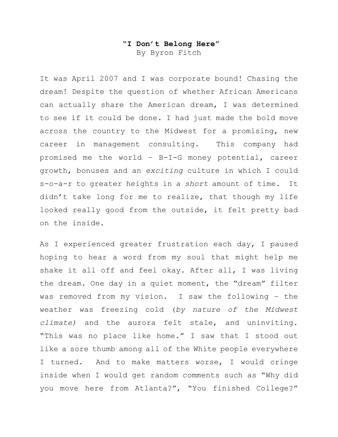## **"I Don't Belong Here"**

By Byron Fitch

It was April 2007 and I was corporate bound! Chasing the dream! Despite the question of whether African Americans can actually share the American dream, I was determined to see if it could be done. I had just made the bold move across the country to the Midwest for a promising, new career in management consulting. This company had promised me the world – B-I-G money potential, career growth, bonuses and an *exciting* culture in which I could s-o-a-r to greater heights in a *short* amount of time. It didn't take long for me to realize, that though my life looked really good from the outside, it felt pretty bad on the inside.

As I experienced greater frustration each day, I paused hoping to hear a word from my soul that might help me shake it all off and feel okay. After all, I was living the dream. One day in a quiet moment, the "dream" filter was removed from my vision. I saw the following – the weather was freezing cold (*by nature of the Midwest climate)* and the aurora felt stale, and uninviting. "This was no place like home." I saw that I stood out like a sore thumb among all of the White people everywhere I turned. And to make matters worse, I would cringe inside when I would get random comments such as "Why did you move here from Atlanta?", "You finished College?"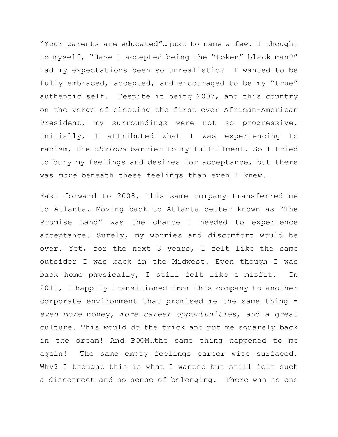"Your parents are educated"…just to name a few. I thought to myself, "Have I accepted being the "token" black man?" Had my expectations been so unrealistic? I wanted to be fully embraced, accepted, and encouraged to be my "true" authentic self. Despite it being 2007, and this country on the verge of electing the first ever African-American President, my surroundings were not so progressive. Initially, I attributed what I was experiencing to racism, the *obvious* barrier to my fulfillment. So I tried to bury my feelings and desires for acceptance, but there was *more* beneath these feelings than even I knew.

Fast forward to 2008, this same company transferred me to Atlanta. Moving back to Atlanta better known as "The Promise Land" was the chance I needed to experience acceptance. Surely, my worries and discomfort would be over. Yet, for the next 3 years, I felt like the same outsider I was back in the Midwest. Even though I was back home physically, I still felt like a misfit. In 2011, I happily transitioned from this company to another corporate environment that promised me the same thing = *even more* money, *more career opportunities*, and a great culture. This would do the trick and put me squarely back in the dream! And BOOM…the same thing happened to me again! The same empty feelings career wise surfaced. Why? I thought this is what I wanted but still felt such a disconnect and no sense of belonging. There was no one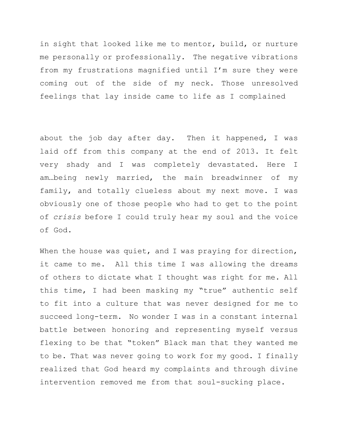in sight that looked like me to mentor, build, or nurture me personally or professionally. The negative vibrations from my frustrations magnified until I'm sure they were coming out of the side of my neck. Those unresolved feelings that lay inside came to life as I complained

about the job day after day. Then it happened, I was laid off from this company at the end of 2013. It felt very shady and I was completely devastated. Here I am…being newly married, the main breadwinner of my family, and totally clueless about my next move. I was obviously one of those people who had to get to the point of *crisis* before I could truly hear my soul and the voice of God.

When the house was quiet, and I was praying for direction, it came to me. All this time I was allowing the dreams of others to dictate what I thought was right for me. All this time, I had been masking my "true" authentic self to fit into a culture that was never designed for me to succeed long-term. No wonder I was in a constant internal battle between honoring and representing myself versus flexing to be that "token" Black man that they wanted me to be. That was never going to work for my good. I finally realized that God heard my complaints and through divine intervention removed me from that soul-sucking place.